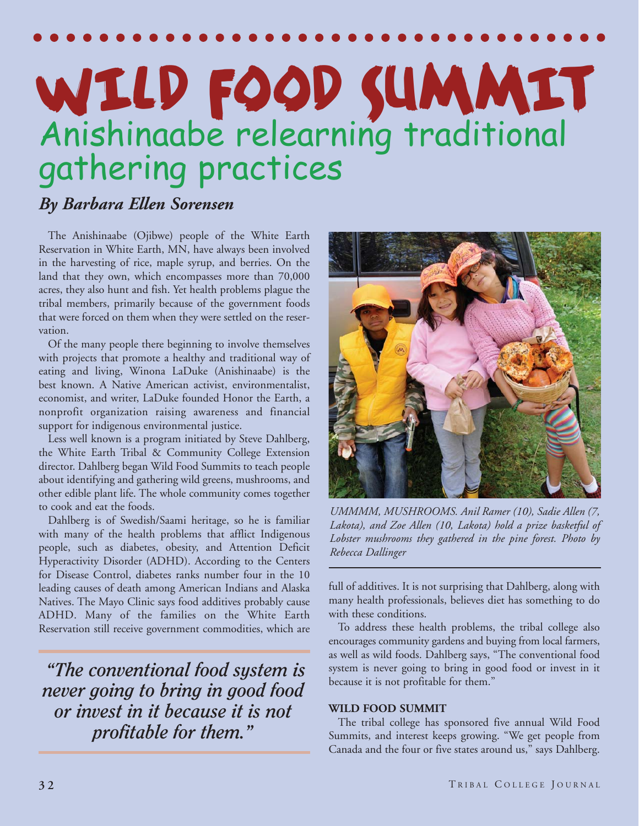# WILD FOOD SUMMIT Anishinaabe relearning traditional gathering practices

## *By Barbara Ellen Sorensen*

The Anishinaabe (Ojibwe) people of the White Earth Reservation in White Earth, MN, have always been involved in the harvesting of rice, maple syrup, and berries. On the land that they own, which encompasses more than 70,000 acres, they also hunt and fish. Yet health problems plague the tribal members, primarily because of the government foods that were forced on them when they were settled on the reservation.

Of the many people there beginning to involve themselves with projects that promote a healthy and traditional way of eating and living, Winona LaDuke (Anishinaabe) is the best known. A Native American activist, environmentalist, economist, and writer, LaDuke founded Honor the Earth, a nonprofit organization raising awareness and financial support for indigenous environmental justice.

Less well known is a program initiated by Steve Dahlberg, the White Earth Tribal & Community College Extension director. Dahlberg began Wild Food Summits to teach people about identifying and gathering wild greens, mushrooms, and other edible plant life. The whole community comes together to cook and eat the foods.

Dahlberg is of Swedish/Saami heritage, so he is familiar with many of the health problems that afflict Indigenous people, such as diabetes, obesity, and Attention Deficit Hyperactivity Disorder (ADHD). According to the Centers for Disease Control, diabetes ranks number four in the 10 leading causes of death among American Indians and Alaska Natives. The Mayo Clinic says food additives probably cause ADHD. Many of the families on the White Earth Reservation still receive government commodities, which are

*"The conventional food system is never going to bring in good food or invest in it because it is not profitable for them."*



*UMMMM, MUSHROOMS. Anil Ramer (10), Sadie Allen (7, Lakota), and Zoe Allen (10, Lakota) hold a prize basketful of Lobster mushrooms they gathered in the pine forest. Photo by Rebecca Dallinger*

full of additives. It is not surprising that Dahlberg, along with many health professionals, believes diet has something to do with these conditions.

To address these health problems, the tribal college also encourages community gardens and buying from local farmers, as well as wild foods. Dahlberg says, "The conventional food system is never going to bring in good food or invest in it because it is not profitable for them."

### **WILD FOOD SUMMIT**

The tribal college has sponsored five annual Wild Food Summits, and interest keeps growing. "We get people from Canada and the four or five states around us," says Dahlberg.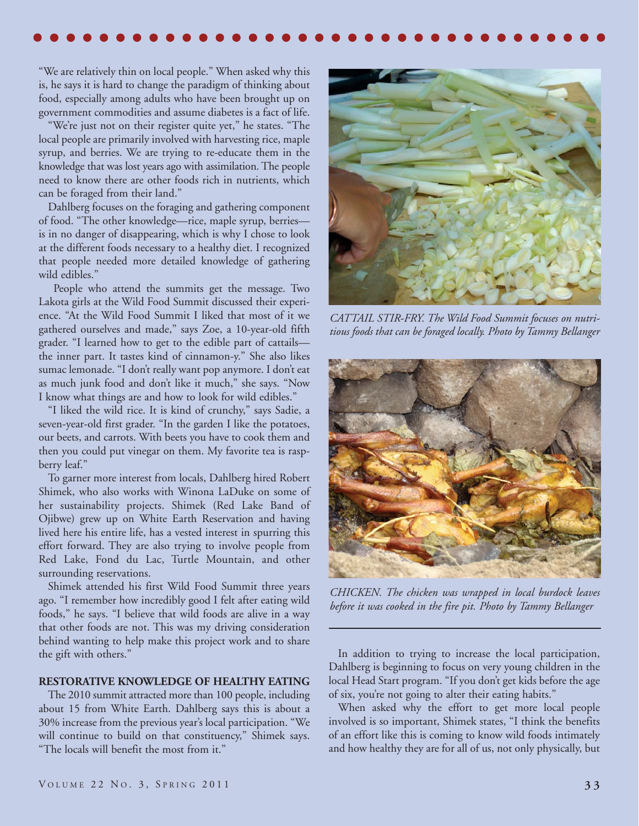"We are relatively thin on local people." When asked why this is, he says it is hard to change the paradigm of thinking about food, especially among adults who have been brought up on government commodities and assume diabetes is a fact of life.

"We're just not on their register quite yet," he states. "The local people are primarily involved with harvesting rice, maple syrup, and berries. We are trying to re-educate them in the knowledge that was lost years ago with assimilation. The people need to know there are other foods rich in nutrients, which can be foraged from their land."

Dahlberg focuses on the foraging and gathering component of food. "The other knowledge—rice, maple syrup, berries is in no danger of disappearing, which is why I chose to look at the different foods necessary to a healthy diet. I recognized that people needed more detailed knowledge of gathering wild edibles."

People who attend the summits get the message. Two Lakota girls at the Wild Food Summit discussed their experience. "At the Wild Food Summit I liked that most of it we gathered ourselves and made," says Zoe, a 10-year-old fifth grader. "I learned how to get to the edible part of cattails the inner part. It tastes kind of cinnamon-y." She also likes sumac lemonade. "I don't really want pop anymore. I don't eat as much junk food and don't like it much," she says. "Now I know what things are and how to look for wild edibles."

"I liked the wild rice. It is kind of crunchy," says Sadie, a seven-year-old first grader. "In the garden I like the potatoes, our beets, and carrots. With beets you have to cook them and then you could put vinegar on them. My favorite tea is raspberry leaf."

To garner more interest from locals, Dahlberg hired Robert Shimek, who also works with Winona LaDuke on some of her sustainability projects. Shimek (Red Lake Band of Ojibwe) grew up on White Earth Reservation and having lived here his entire life, has a vested interest in spurring this effort forward. They are also trying to involve people from Red Lake, Fond du Lac, Turtle Mountain, and other surrounding reservations.

Shimek attended his first Wild Food Summit three years ago. "I remember how incredibly good I felt after eating wild foods," he says. "I believe that wild foods are alive in a way that other foods are not. This was my driving consideration behind wanting to help make this project work and to share the gift with others."

#### **RESTORATIVE KNOWLEDGE OF HEALTHY EATING**

The 2010 summit attracted more than 100 people, including about 15 from White Earth. Dahlberg says this is about a 30% increase from the previous year's local participation. "We will continue to build on that constituency," Shimek says. "The locals will benefit the most from it."



*CATTAIL STIR-FRY. The Wild Food Summit focuses on nutritious foods that can be foraged locally. Photo by Tammy Bellanger*



*CHICKEN. The chicken was wrapped in local burdock leaves before it was cooked in the fire pit. Photo by Tammy Bellanger*

In addition to trying to increase the local participation, Dahlberg is beginning to focus on very young children in the local Head Start program. "If you don't get kids before the age of six, you're not going to alter their eating habits."

When asked why the effort to get more local people involved is so important, Shimek states, "I think the benefits of an effort like this is coming to know wild foods intimately and how healthy they are for all of us, not only physically, but